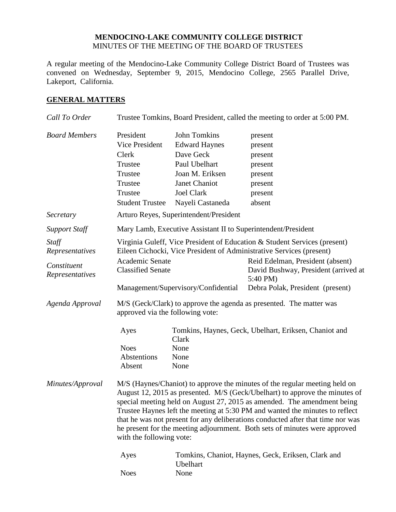## **MENDOCINO-LAKE COMMUNITY COLLEGE DISTRICT** MINUTES OF THE MEETING OF THE BOARD OF TRUSTEES

A regular meeting of the Mendocino-Lake Community College District Board of Trustees was convened on Wednesday, September 9, 2015, Mendocino College, 2565 Parallel Drive, Lakeport, California.

## **GENERAL MATTERS**

| Call To Order                  |                                                                                                                                                                                                                                                                                                                                                                                                                                                                                                                   |                                                                                                                                                               | Trustee Tomkins, Board President, called the meeting to order at 5:00 PM.            |
|--------------------------------|-------------------------------------------------------------------------------------------------------------------------------------------------------------------------------------------------------------------------------------------------------------------------------------------------------------------------------------------------------------------------------------------------------------------------------------------------------------------------------------------------------------------|---------------------------------------------------------------------------------------------------------------------------------------------------------------|--------------------------------------------------------------------------------------|
| <b>Board Members</b>           | President<br>Vice President<br>Clerk<br>Trustee<br>Trustee<br>Trustee<br>Trustee<br><b>Student Trustee</b>                                                                                                                                                                                                                                                                                                                                                                                                        | <b>John Tomkins</b><br><b>Edward Haynes</b><br>Dave Geck<br>Paul Ubelhart<br>Joan M. Eriksen<br><b>Janet Chaniot</b><br><b>Joel Clark</b><br>Nayeli Castaneda | present<br>present<br>present<br>present<br>present<br>present<br>present<br>absent  |
| Secretary                      |                                                                                                                                                                                                                                                                                                                                                                                                                                                                                                                   | Arturo Reyes, Superintendent/President                                                                                                                        |                                                                                      |
| <b>Support Staff</b>           | Mary Lamb, Executive Assistant II to Superintendent/President                                                                                                                                                                                                                                                                                                                                                                                                                                                     |                                                                                                                                                               |                                                                                      |
| Staff<br>Representatives       | Virginia Guleff, Vice President of Education & Student Services (present)<br>Eileen Cichocki, Vice President of Administrative Services (present)                                                                                                                                                                                                                                                                                                                                                                 |                                                                                                                                                               |                                                                                      |
| Constituent<br>Representatives | Academic Senate<br><b>Classified Senate</b>                                                                                                                                                                                                                                                                                                                                                                                                                                                                       |                                                                                                                                                               | Reid Edelman, President (absent)<br>David Bushway, President (arrived at<br>5:40 PM) |
|                                |                                                                                                                                                                                                                                                                                                                                                                                                                                                                                                                   | Management/Supervisory/Confidential                                                                                                                           | Debra Polak, President (present)                                                     |
| Agenda Approval                | M/S (Geck/Clark) to approve the agenda as presented. The matter was<br>approved via the following vote:                                                                                                                                                                                                                                                                                                                                                                                                           |                                                                                                                                                               |                                                                                      |
|                                | Ayes<br><b>Noes</b><br>Abstentions<br>Absent                                                                                                                                                                                                                                                                                                                                                                                                                                                                      | Clark<br>None<br>None<br>None                                                                                                                                 | Tomkins, Haynes, Geck, Ubelhart, Eriksen, Chaniot and                                |
| Minutes/Approval               | M/S (Haynes/Chaniot) to approve the minutes of the regular meeting held on<br>August 12, 2015 as presented. M/S (Geck/Ubelhart) to approve the minutes of<br>special meeting held on August 27, 2015 as amended. The amendment being<br>Trustee Haynes left the meeting at 5:30 PM and wanted the minutes to reflect<br>that he was not present for any deliberations conducted after that time nor was<br>he present for the meeting adjournment. Both sets of minutes were approved<br>with the following vote: |                                                                                                                                                               |                                                                                      |
|                                | Ayes                                                                                                                                                                                                                                                                                                                                                                                                                                                                                                              | Ubelhart<br>None                                                                                                                                              | Tomkins, Chaniot, Haynes, Geck, Eriksen, Clark and                                   |
|                                | <b>Noes</b>                                                                                                                                                                                                                                                                                                                                                                                                                                                                                                       |                                                                                                                                                               |                                                                                      |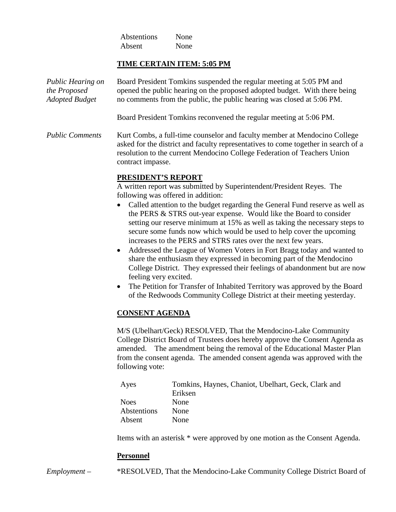Abstentions None Absent None

### **TIME CERTAIN ITEM: 5:05 PM**

| Public Hearing on<br>the Proposed<br>Adopted Budget | Board President Tomkins suspended the regular meeting at 5:05 PM and<br>opened the public hearing on the proposed adopted budget. With there being<br>no comments from the public, the public hearing was closed at 5:06 PM.                                                                                                                                                                                                                                                                                                                                                                                                                                                                                                                                  |
|-----------------------------------------------------|---------------------------------------------------------------------------------------------------------------------------------------------------------------------------------------------------------------------------------------------------------------------------------------------------------------------------------------------------------------------------------------------------------------------------------------------------------------------------------------------------------------------------------------------------------------------------------------------------------------------------------------------------------------------------------------------------------------------------------------------------------------|
|                                                     | Board President Tomkins reconvened the regular meeting at 5:06 PM.                                                                                                                                                                                                                                                                                                                                                                                                                                                                                                                                                                                                                                                                                            |
| <b>Public Comments</b>                              | Kurt Combs, a full-time counselor and faculty member at Mendocino College<br>asked for the district and faculty representatives to come together in search of a<br>resolution to the current Mendocino College Federation of Teachers Union<br>contract impasse.                                                                                                                                                                                                                                                                                                                                                                                                                                                                                              |
|                                                     | PRESIDENT'S REPORT<br>A written report was submitted by Superintendent/President Reyes. The<br>following was offered in addition:<br>Called attention to the budget regarding the General Fund reserve as well as<br>the PERS & STRS out-year expense. Would like the Board to consider<br>setting our reserve minimum at 15% as well as taking the necessary steps to<br>secure some funds now which would be used to help cover the upcoming<br>increases to the PERS and STRS rates over the next few years.<br>Addressed the League of Women Voters in Fort Bragg today and wanted to<br>$\bullet$<br>share the enthusiasm they expressed in becoming part of the Mendocino<br>College District. They expressed their feelings of abandonment but are now |

feeling very excited. • The Petition for Transfer of Inhabited Territory was approved by the Board of the Redwoods Community College District at their meeting yesterday.

# **CONSENT AGENDA**

M/S (Ubelhart/Geck) RESOLVED, That the Mendocino-Lake Community College District Board of Trustees does hereby approve the Consent Agenda as amended. The amendment being the removal of the Educational Master Plan from the consent agenda. The amended consent agenda was approved with the following vote:

| Ayes        | Tomkins, Haynes, Chaniot, Ubelhart, Geck, Clark and |
|-------------|-----------------------------------------------------|
|             | Eriksen                                             |
| <b>Noes</b> | <b>None</b>                                         |
| Abstentions | None                                                |
| Absent      | <b>None</b>                                         |

Items with an asterisk \* were approved by one motion as the Consent Agenda.

#### **Personnel**

*Employment –* \*RESOLVED, That the Mendocino-Lake Community College District Board of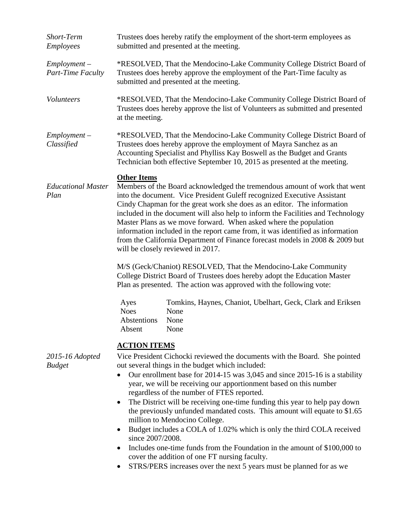| Short-Term<br><b>Employees</b>      | Trustees does hereby ratify the employment of the short-term employees as<br>submitted and presented at the meeting.                                                                                                                                                                                                                                                                                                                                                                                                                                                                                                                                                                                                                                                                                                                                                           |  |  |
|-------------------------------------|--------------------------------------------------------------------------------------------------------------------------------------------------------------------------------------------------------------------------------------------------------------------------------------------------------------------------------------------------------------------------------------------------------------------------------------------------------------------------------------------------------------------------------------------------------------------------------------------------------------------------------------------------------------------------------------------------------------------------------------------------------------------------------------------------------------------------------------------------------------------------------|--|--|
| $Employment -$<br>Part-Time Faculty | *RESOLVED, That the Mendocino-Lake Community College District Board of<br>Trustees does hereby approve the employment of the Part-Time faculty as<br>submitted and presented at the meeting.                                                                                                                                                                                                                                                                                                                                                                                                                                                                                                                                                                                                                                                                                   |  |  |
| Volunteers                          | *RESOLVED, That the Mendocino-Lake Community College District Board of<br>Trustees does hereby approve the list of Volunteers as submitted and presented<br>at the meeting.                                                                                                                                                                                                                                                                                                                                                                                                                                                                                                                                                                                                                                                                                                    |  |  |
| $Employment -$<br>Classified        | *RESOLVED, That the Mendocino-Lake Community College District Board of<br>Trustees does hereby approve the employment of Mayra Sanchez as an<br>Accounting Specialist and Phylliss Kay Boswell as the Budget and Grants<br>Technician both effective September 10, 2015 as presented at the meeting.                                                                                                                                                                                                                                                                                                                                                                                                                                                                                                                                                                           |  |  |
| <b>Educational Master</b><br>Plan   | <b>Other Items</b><br>Members of the Board acknowledged the tremendous amount of work that went<br>into the document. Vice President Guleff recognized Executive Assistant<br>Cindy Chapman for the great work she does as an editor. The information<br>included in the document will also help to inform the Facilities and Technology<br>Master Plans as we move forward. When asked where the population<br>information included in the report came from, it was identified as information<br>from the California Department of Finance forecast models in 2008 & 2009 but<br>will be closely reviewed in 2017.<br>M/S (Geck/Chaniot) RESOLVED, That the Mendocino-Lake Community<br>College District Board of Trustees does hereby adopt the Education Master<br>Plan as presented. The action was approved with the following vote:                                      |  |  |
|                                     | Tomkins, Haynes, Chaniot, Ubelhart, Geck, Clark and Eriksen<br>Ayes<br><b>Noes</b><br>None<br>Abstentions<br>None<br>Absent<br>None                                                                                                                                                                                                                                                                                                                                                                                                                                                                                                                                                                                                                                                                                                                                            |  |  |
| 2015-16 Adopted<br><b>Budget</b>    | <u>ACTION ITEMS</u><br>Vice President Cichocki reviewed the documents with the Board. She pointed<br>out several things in the budget which included:<br>Our enrollment base for 2014-15 was 3,045 and since 2015-16 is a stability<br>year, we will be receiving our apportionment based on this number<br>regardless of the number of FTES reported.<br>The District will be receiving one-time funding this year to help pay down<br>the previously unfunded mandated costs. This amount will equate to \$1.65<br>million to Mendocino College.<br>Budget includes a COLA of 1.02% which is only the third COLA received<br>$\bullet$<br>since 2007/2008.<br>Includes one-time funds from the Foundation in the amount of \$100,000 to<br>cover the addition of one FT nursing faculty.<br>STRS/PERS increases over the next 5 years must be planned for as we<br>$\bullet$ |  |  |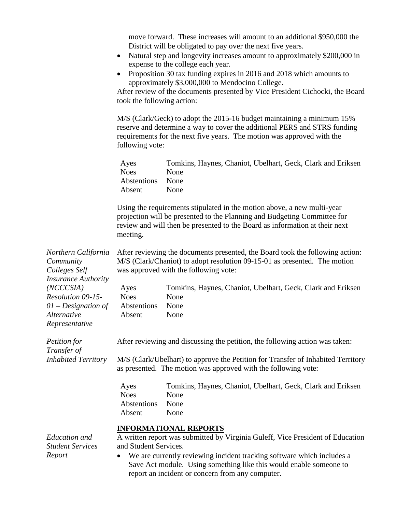move forward. These increases will amount to an additional \$950,000 the District will be obligated to pay over the next five years.

- Natural step and longevity increases amount to approximately \$200,000 in expense to the college each year.
- Proposition 30 tax funding expires in 2016 and 2018 which amounts to approximately \$3,000,000 to Mendocino College.

After review of the documents presented by Vice President Cichocki, the Board took the following action:

M/S (Clark/Geck) to adopt the 2015-16 budget maintaining a minimum 15% reserve and determine a way to cover the additional PERS and STRS funding requirements for the next five years. The motion was approved with the following vote:

| Ayes             | Tomkins, Haynes, Chaniot, Ubelhart, Geck, Clark and Eriksen |
|------------------|-------------------------------------------------------------|
| <b>Noes</b>      | <b>None</b>                                                 |
| Abstentions None |                                                             |
| Absent           | <b>None</b>                                                 |

Using the requirements stipulated in the motion above, a new multi-year projection will be presented to the Planning and Budgeting Committee for review and will then be presented to the Board as information at their next meeting.

| Northern California         | After reviewing the documents presented, the Board took the following action:  |                                                                                                                                                    |
|-----------------------------|--------------------------------------------------------------------------------|----------------------------------------------------------------------------------------------------------------------------------------------------|
| Community                   | M/S (Clark/Chaniot) to adopt resolution 09-15-01 as presented. The motion      |                                                                                                                                                    |
| Colleges Self               | was approved with the following vote:                                          |                                                                                                                                                    |
| <b>Insurance Authority</b>  |                                                                                |                                                                                                                                                    |
| (NCCCSIA)                   | Ayes                                                                           | Tomkins, Haynes, Chaniot, Ubelhart, Geck, Clark and Eriksen                                                                                        |
| Resolution 09-15-           | <b>Noes</b>                                                                    | None                                                                                                                                               |
| $01$ – Designation of       | Abstentions                                                                    | None                                                                                                                                               |
| Alternative                 | Absent                                                                         | None                                                                                                                                               |
| Representative              |                                                                                |                                                                                                                                                    |
| Petition for<br>Transfer of | After reviewing and discussing the petition, the following action was taken:   |                                                                                                                                                    |
| <b>Inhabited Territory</b>  |                                                                                | M/S (Clark/Ubelhart) to approve the Petition for Transfer of Inhabited Territory<br>as presented. The motion was approved with the following vote: |
|                             | Ayes                                                                           | Tomkins, Haynes, Chaniot, Ubelhart, Geck, Clark and Eriksen                                                                                        |
|                             | <b>Noes</b>                                                                    | None                                                                                                                                               |
|                             | Abstentions                                                                    | None                                                                                                                                               |
|                             | Absent                                                                         | None                                                                                                                                               |
|                             |                                                                                | <b>INFORMATIONAL REPORTS</b>                                                                                                                       |
| Education and               | A written report was submitted by Virginia Guleff, Vice President of Education |                                                                                                                                                    |
| <b>Student Services</b>     | and Student Services.                                                          |                                                                                                                                                    |

*Report*

• We are currently reviewing incident tracking software which includes a Save Act module. Using something like this would enable someone to report an incident or concern from any computer.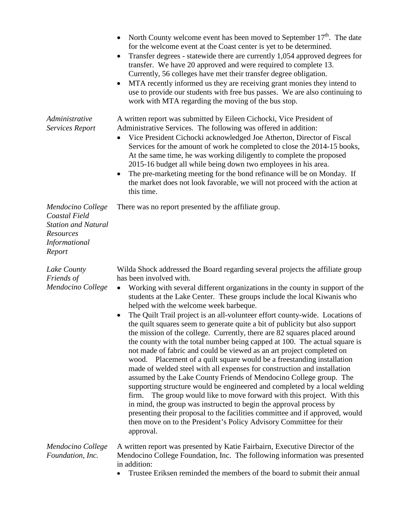|                                                                                                                 | North County welcome event has been moved to September $17th$ . The date<br>for the welcome event at the Coast center is yet to be determined.<br>Transfer degrees - statewide there are currently 1,054 approved degrees for<br>$\bullet$<br>transfer. We have 20 approved and were required to complete 13.<br>Currently, 56 colleges have met their transfer degree obligation.<br>MTA recently informed us they are receiving grant monies they intend to<br>use to provide our students with free bus passes. We are also continuing to<br>work with MTA regarding the moving of the bus stop.                                                                                                                                                                                                                                                                                                                                                                                                                                                                                                                                                                                                                                                                                                                                                              |
|-----------------------------------------------------------------------------------------------------------------|------------------------------------------------------------------------------------------------------------------------------------------------------------------------------------------------------------------------------------------------------------------------------------------------------------------------------------------------------------------------------------------------------------------------------------------------------------------------------------------------------------------------------------------------------------------------------------------------------------------------------------------------------------------------------------------------------------------------------------------------------------------------------------------------------------------------------------------------------------------------------------------------------------------------------------------------------------------------------------------------------------------------------------------------------------------------------------------------------------------------------------------------------------------------------------------------------------------------------------------------------------------------------------------------------------------------------------------------------------------|
| Administrative<br><b>Services Report</b>                                                                        | A written report was submitted by Eileen Cichocki, Vice President of<br>Administrative Services. The following was offered in addition:<br>Vice President Cichocki acknowledged Joe Atherton, Director of Fiscal<br>Services for the amount of work he completed to close the 2014-15 books,<br>At the same time, he was working diligently to complete the proposed<br>2015-16 budget all while being down two employees in his area.<br>The pre-marketing meeting for the bond refinance will be on Monday. If<br>the market does not look favorable, we will not proceed with the action at<br>this time.                                                                                                                                                                                                                                                                                                                                                                                                                                                                                                                                                                                                                                                                                                                                                     |
| Mendocino College<br>Coastal Field<br><b>Station and Natural</b><br>Resources<br><i>Informational</i><br>Report | There was no report presented by the affiliate group.                                                                                                                                                                                                                                                                                                                                                                                                                                                                                                                                                                                                                                                                                                                                                                                                                                                                                                                                                                                                                                                                                                                                                                                                                                                                                                            |
| Lake County<br>Friends of<br>Mendocino College                                                                  | Wilda Shock addressed the Board regarding several projects the affiliate group<br>has been involved with.<br>Working with several different organizations in the county in support of the<br>$\bullet$<br>students at the Lake Center. These groups include the local Kiwanis who<br>helped with the welcome week barbeque.<br>The Quilt Trail project is an all-volunteer effort county-wide. Locations of<br>the quilt squares seem to generate quite a bit of publicity but also support<br>the mission of the college. Currently, there are 82 squares placed around<br>the county with the total number being capped at 100. The actual square is<br>not made of fabric and could be viewed as an art project completed on<br>wood. Placement of a quilt square would be a freestanding installation<br>made of welded steel with all expenses for construction and installation<br>assumed by the Lake County Friends of Mendocino College group. The<br>supporting structure would be engineered and completed by a local welding<br>The group would like to move forward with this project. With this<br>firm.<br>in mind, the group was instructed to begin the approval process by<br>presenting their proposal to the facilities committee and if approved, would<br>then move on to the President's Policy Advisory Committee for their<br>approval. |
| Mendocino College<br>Foundation, Inc.                                                                           | A written report was presented by Katie Fairbairn, Executive Director of the<br>Mendocino College Foundation, Inc. The following information was presented<br>in addition:<br>Trustee Eriksen reminded the members of the board to submit their annual                                                                                                                                                                                                                                                                                                                                                                                                                                                                                                                                                                                                                                                                                                                                                                                                                                                                                                                                                                                                                                                                                                           |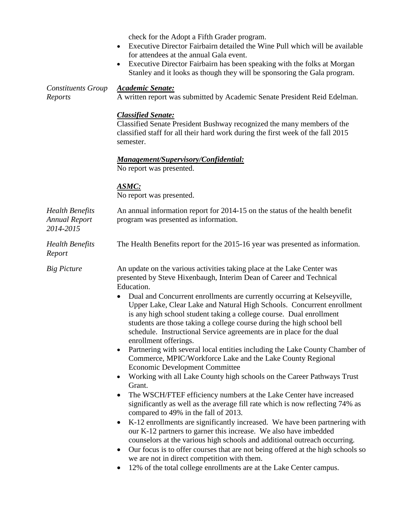check for the Adopt a Fifth Grader program.

- Executive Director Fairbairn detailed the Wine Pull which will be available for attendees at the annual Gala event.
- Executive Director Fairbairn has been speaking with the folks at Morgan Stanley and it looks as though they will be sponsoring the Gala program.

| <b>Constituents Group</b><br>Reports                        | <b>Academic Senate:</b><br>A written report was submitted by Academic Senate President Reid Edelman.                                                                                                                                                                                                                                                                                                                                                                                                                                                                                                                                                                                                                                                                                                                                                                                                                                                                                                                                                                                                                                                                                                                                                                                                                                                                                                                                                                                                   |  |  |
|-------------------------------------------------------------|--------------------------------------------------------------------------------------------------------------------------------------------------------------------------------------------------------------------------------------------------------------------------------------------------------------------------------------------------------------------------------------------------------------------------------------------------------------------------------------------------------------------------------------------------------------------------------------------------------------------------------------------------------------------------------------------------------------------------------------------------------------------------------------------------------------------------------------------------------------------------------------------------------------------------------------------------------------------------------------------------------------------------------------------------------------------------------------------------------------------------------------------------------------------------------------------------------------------------------------------------------------------------------------------------------------------------------------------------------------------------------------------------------------------------------------------------------------------------------------------------------|--|--|
|                                                             | <b>Classified Senate:</b><br>Classified Senate President Bushway recognized the many members of the<br>classified staff for all their hard work during the first week of the fall 2015<br>semester.                                                                                                                                                                                                                                                                                                                                                                                                                                                                                                                                                                                                                                                                                                                                                                                                                                                                                                                                                                                                                                                                                                                                                                                                                                                                                                    |  |  |
|                                                             | Management/Supervisory/Confidential:<br>No report was presented.                                                                                                                                                                                                                                                                                                                                                                                                                                                                                                                                                                                                                                                                                                                                                                                                                                                                                                                                                                                                                                                                                                                                                                                                                                                                                                                                                                                                                                       |  |  |
|                                                             | <u>ASMC:</u><br>No report was presented.                                                                                                                                                                                                                                                                                                                                                                                                                                                                                                                                                                                                                                                                                                                                                                                                                                                                                                                                                                                                                                                                                                                                                                                                                                                                                                                                                                                                                                                               |  |  |
| <b>Health Benefits</b><br><b>Annual Report</b><br>2014-2015 | An annual information report for 2014-15 on the status of the health benefit<br>program was presented as information.                                                                                                                                                                                                                                                                                                                                                                                                                                                                                                                                                                                                                                                                                                                                                                                                                                                                                                                                                                                                                                                                                                                                                                                                                                                                                                                                                                                  |  |  |
| <b>Health Benefits</b><br>Report                            | The Health Benefits report for the 2015-16 year was presented as information.                                                                                                                                                                                                                                                                                                                                                                                                                                                                                                                                                                                                                                                                                                                                                                                                                                                                                                                                                                                                                                                                                                                                                                                                                                                                                                                                                                                                                          |  |  |
| <b>Big Picture</b>                                          | An update on the various activities taking place at the Lake Center was<br>presented by Steve Hixenbaugh, Interim Dean of Career and Technical<br>Education.<br>Dual and Concurrent enrollments are currently occurring at Kelseyville,<br>Upper Lake, Clear Lake and Natural High Schools. Concurrent enrollment<br>is any high school student taking a college course. Dual enrollment<br>students are those taking a college course during the high school bell<br>schedule. Instructional Service agreements are in place for the dual<br>enrollment offerings.<br>Partnering with several local entities including the Lake County Chamber of<br>٠<br>Commerce, MPIC/Workforce Lake and the Lake County Regional<br><b>Economic Development Committee</b><br>Working with all Lake County high schools on the Career Pathways Trust<br>Grant.<br>The WSCH/FTEF efficiency numbers at the Lake Center have increased<br>significantly as well as the average fill rate which is now reflecting 74% as<br>compared to 49% in the fall of 2013.<br>K-12 enrollments are significantly increased. We have been partnering with<br>$\bullet$<br>our K-12 partners to garner this increase. We also have imbedded<br>counselors at the various high schools and additional outreach occurring.<br>Our focus is to offer courses that are not being offered at the high schools so<br>we are not in direct competition with them.<br>12% of the total college enrollments are at the Lake Center campus. |  |  |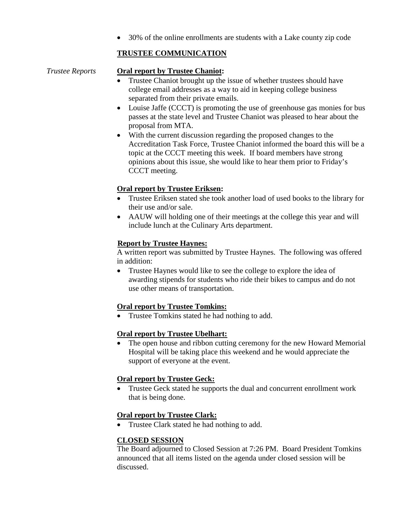• 30% of the online enrollments are students with a Lake county zip code

# **TRUSTEE COMMUNICATION**

*Trustee Reports* **Oral report by Trustee Chaniot:**

- Trustee Chaniot brought up the issue of whether trustees should have college email addresses as a way to aid in keeping college business separated from their private emails.
- Louise Jaffe (CCCT) is promoting the use of greenhouse gas monies for bus passes at the state level and Trustee Chaniot was pleased to hear about the proposal from MTA.
- With the current discussion regarding the proposed changes to the Accreditation Task Force, Trustee Chaniot informed the board this will be a topic at the CCCT meeting this week. If board members have strong opinions about this issue, she would like to hear them prior to Friday's CCCT meeting.

# **Oral report by Trustee Eriksen:**

- Trustee Eriksen stated she took another load of used books to the library for their use and/or sale.
- AAUW will holding one of their meetings at the college this year and will include lunch at the Culinary Arts department.

# **Report by Trustee Haynes:**

A written report was submitted by Trustee Haynes. The following was offered in addition:

• Trustee Haynes would like to see the college to explore the idea of awarding stipends for students who ride their bikes to campus and do not use other means of transportation.

# **Oral report by Trustee Tomkins:**

• Trustee Tomkins stated he had nothing to add.

# **Oral report by Trustee Ubelhart:**

• The open house and ribbon cutting ceremony for the new Howard Memorial Hospital will be taking place this weekend and he would appreciate the support of everyone at the event.

# **Oral report by Trustee Geck:**

• Trustee Geck stated he supports the dual and concurrent enrollment work that is being done.

# **Oral report by Trustee Clark:**

• Trustee Clark stated he had nothing to add.

# **CLOSED SESSION**

The Board adjourned to Closed Session at 7:26 PM. Board President Tomkins announced that all items listed on the agenda under closed session will be discussed.